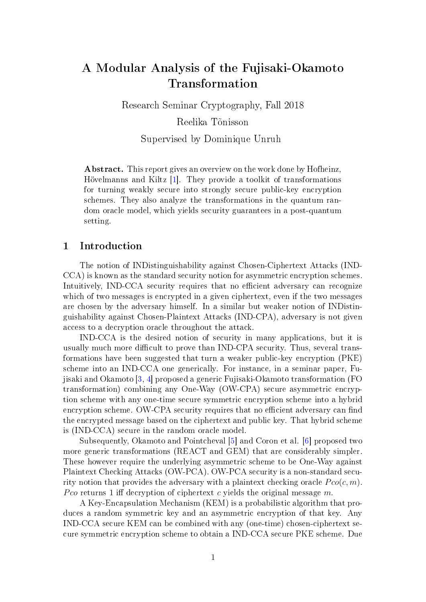# A Modular Analysis of the Fujisaki-Okamoto Transformation

Research Seminar Cryptography, Fall 2018 Reelika Tõnisson

Supervised by Dominique Unruh

Abstract. This report gives an overview on the work done by Hofheinz, Hövelmanns and Kiltz [\[1\]](#page-11-0). They provide a toolkit of transformations for turning weakly secure into strongly secure public-key encryption schemes. They also analyze the transformations in the quantum random oracle model, which yields security guarantees in a post-quantum setting.

#### 1 Introduction

The notion of INDistinguishability against Chosen-Ciphertext Attacks (IND-CCA) is known as the standard security notion for asymmetric encryption schemes. Intuitively, IND-CCA security requires that no efficient adversary can recognize which of two messages is encrypted in a given ciphertext, even if the two messages are chosen by the adversary himself. In a similar but weaker notion of INDistinguishability against Chosen-Plaintext Attacks (IND-CPA), adversary is not given access to a decryption oracle throughout the attack.

IND-CCA is the desired notion of security in many applications, but it is usually much more difficult to prove than IND-CPA security. Thus, several transformations have been suggested that turn a weaker public-key encryption (PKE) scheme into an IND-CCA one generically. For instance, in a seminar paper, Fujisaki and Okamoto [\[3,](#page-11-1) [4\]](#page-11-2) proposed a generic Fujisaki-Okamoto transformation (FO transformation) combining any One-Way (OW-CPA) secure asymmetric encryption scheme with any one-time secure symmetric encryption scheme into a hybrid encryption scheme. OW-CPA security requires that no efficient adversary can find the encrypted message based on the ciphertext and public key. That hybrid scheme is (IND-CCA) secure in the random oracle model.

Subsequently, Okamoto and Pointcheval [\[5\]](#page-11-3) and Coron et al. [\[6\]](#page-11-4) proposed two more generic transformations (REACT and GEM) that are considerably simpler. These however require the underlying asymmetric scheme to be One-Way against Plaintext Checking Attacks (OW-PCA). OW-PCA security is a non-standard security notion that provides the adversary with a plaintext checking oracle  $P_{\textit{co}}(c, m)$ . Pco returns 1 iff decryption of ciphertext c yields the original message  $m$ .

A Key-Encapsulation Mechanism (KEM) is a probabilistic algorithm that produces a random symmetric key and an asymmetric encryption of that key. Any IND-CCA secure KEM can be combined with any (one-time) chosen-ciphertext secure symmetric encryption scheme to obtain a IND-CCA secure PKE scheme. Due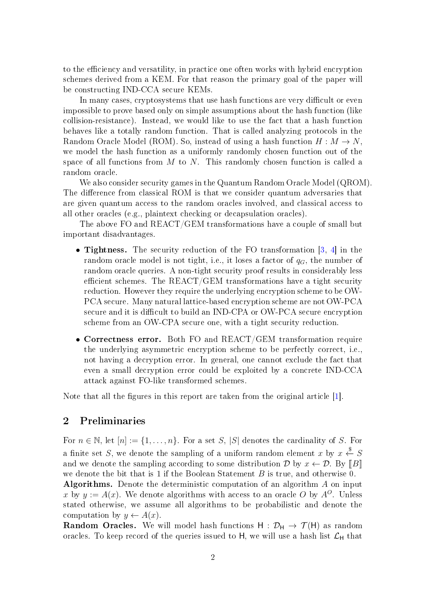to the efficiency and versatility, in practice one often works with hybrid encryption schemes derived from a KEM. For that reason the primary goal of the paper will be constructing IND-CCA secure KEMs.

In many cases, cryptosystems that use hash functions are very difficult or even impossible to prove based only on simple assumptions about the hash function (like collision-resistance). Instead, we would like to use the fact that a hash function behaves like a totally random function. That is called analyzing protocols in the Random Oracle Model (ROM). So, instead of using a hash function  $H : M \to N$ , we model the hash function as a uniformly randomly chosen function out of the space of all functions from  $M$  to  $N$ . This randomly chosen function is called a random oracle.

We also consider security games in the Quantum Random Oracle Model (QROM). The difference from classical ROM is that we consider quantum adversaries that are given quantum access to the random oracles involved, and classical access to all other oracles (e.g., plaintext checking or decapsulation oracles).

The above FO and REACT/GEM transformations have a couple of small but important disadvantages.

- Tightness. The security reduction of the FO transformation [\[3,](#page-11-1) [4\]](#page-11-2) in the random oracle model is not tight, i.e., it loses a factor of  $q_G$ , the number of random oracle queries. A non-tight security proof results in considerably less efficient schemes. The  $REACT/GEN$  transformations have a tight security reduction. However they require the underlying encryption scheme to be OW-PCA secure. Many natural lattice-based encryption scheme are not OW-PCA secure and it is difficult to build an IND-CPA or OW-PCA secure encryption scheme from an OW-CPA secure one, with a tight security reduction.
- Correctness error. Both FO and REACT/GEM transformation require the underlying asymmetric encryption scheme to be perfectly correct, i.e., not having a decryption error. In general, one cannot exclude the fact that even a small decryption error could be exploited by a concrete IND-CCA attack against FO-like transformed schemes.

Note that all the figures in this report are taken from the original article  $[1]$ .

### 2 Preliminaries

For  $n \in \mathbb{N}$ , let  $[n] := \{1, \ldots, n\}$ . For a set S, |S| denotes the cardinality of S. For a finite set S, we denote the sampling of a uniform random element x by  $x \stackrel{\$}{\leftarrow} S$ and we denote the sampling according to some distribution  $\mathcal{D}$  by  $x \leftarrow \mathcal{D}$ . By  $[[B]]$ we denote the bit that is 1 if the Boolean Statement B is true, and otherwise 0. Algorithms. Denote the deterministic computation of an algorithm A on input x by  $y := A(x)$ . We denote algorithms with access to an oracle O by  $A^{O}$ . Unless stated otherwise, we assume all algorithms to be probabilistic and denote the computation by  $y \leftarrow A(x)$ .

**Random Oracles.** We will model hash functions  $H : \mathcal{D}_H \to \mathcal{T}(H)$  as random oracles. To keep record of the queries issued to H, we will use a hash list  $\mathcal{L}_{H}$  that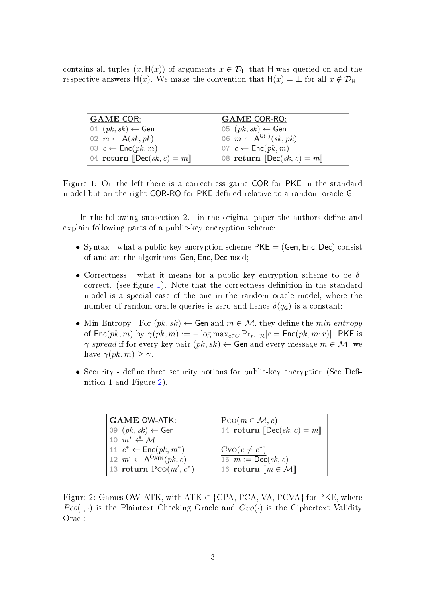contains all tuples  $(x, H(x))$  of arguments  $x \in \mathcal{D}_H$  that H was queried on and the respective answers H(x). We make the convention that  $H(x) = \perp$  for all  $x \notin \mathcal{D}_H$ .

<span id="page-2-0"></span>

| <b>GAME COR:</b>                                                     | <b>GAME COR-RO:</b>                            |
|----------------------------------------------------------------------|------------------------------------------------|
| $\vert$ 01 $(\,pk, sk) \leftarrow$ Gen                               | 05 $(pk, sk) \leftarrow$ Gen                   |
| $\big\vert 02 \, m \leftarrow A(\mathit{sk}, \mathit{pk}) \big\vert$ | 06 $m \leftarrow A^{G(\cdot)}(sk, pk)$         |
| 03 $c \leftarrow \textsf{Enc}(pk, m)$                                | 07 $c \leftarrow \textsf{Enc}(pk, m)$          |
| 04 return [Dec(sk, c) = $m$ ]                                        | 08 return $\left[\text{Dec}(sk, c) = m\right]$ |

Figure 1: On the left there is a correctness game COR for PKE in the standard model but on the right COR-RO for PKE defined relative to a random oracle G.

In the following subsection 2.1 in the original paper the authors define and explain following parts of a public-key encryption scheme:

- Syntax what a public-key encryption scheme  $PKE = (Gen, Enc, Dec)$  consist of and are the algorithms Gen, Enc, Dec used;
- Correctness what it means for a public-key encryption scheme to be  $\delta$ -correct. (see figure [1\)](#page-2-0). Note that the correctness definition in the standard model is a special case of the one in the random oracle model, where the number of random oracle queries is zero and hence  $\delta(q_G)$  is a constant;
- Min-Entropy For  $(pk, sk) \leftarrow$  Gen and  $m \in \mathcal{M}$ , they define the min-entropy of  $\textsf{Enc}(pk, m)$  by  $\gamma(pk, m) := -\log \max_{c \in C} \Pr_{r \leftarrow \mathcal{R}}[c = \textsf{Enc}(pk, m; r)]$ . PKE is  $\gamma$ -spread if for every key pair  $(pk, sk) \leftarrow$  Gen and every message  $m \in \mathcal{M}$ , we have  $\gamma(pk, m) > \gamma$ .
- <span id="page-2-1"></span>• Security - define three security notions for public-key encryption (See Definition 1 and Figure [2\)](#page-2-1).

| <b>GAME OW-ATK:</b>                            | $PCO(m \in \mathcal{M}, c)$                         |
|------------------------------------------------|-----------------------------------------------------|
| $ 09 (pk, sk) \leftarrow$ Gen                  | 14 return $\operatorname{Dec}(sk, c) = m$           |
| 10 $m^* \stackrel{\$}{\leftarrow} \mathcal{M}$ |                                                     |
| 11 $c^* \leftarrow \text{Enc}(pk, m^*)$        | $C\text{VO}(c \neq c^*)$                            |
| 12 $m' \leftarrow A^{O_{\text{ATK}}}(pk, c)$   | 15 $m := \textsf{Dec}(sk, c)$                       |
| 13 return $PCO(m', c^*)$                       | 16 return $\llbracket m \in \mathcal{M} \rrbracket$ |

Figure 2: Games OW-ATK, with  $ATK \in \{CPA, PCA, VA, PCVA\}$  for PKE, where  $P co(\cdot, \cdot)$  is the Plaintext Checking Oracle and  $Cvo(\cdot)$  is the Ciphertext Validity Oracle.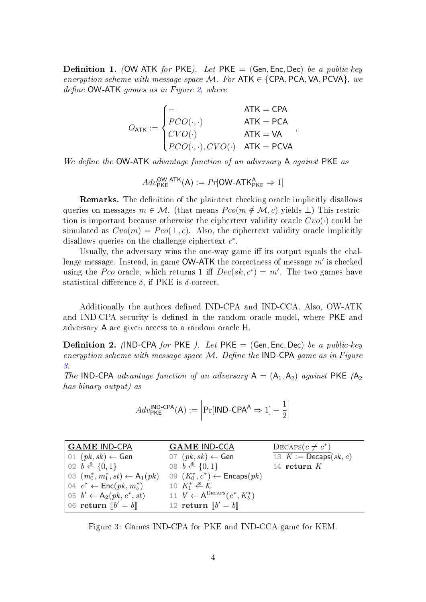**Definition 1.** (OW-ATK for PKE). Let PKE = (Gen, Enc, Dec) be a public-key encryption scheme with message space M. For  $ATK \in \{CPA, PCA, VA, PCVA\}$ , we define  $OW-ATK$  games as in Figure [2,](#page-2-1) where

$$
O_{\mathsf{ATK}} := \begin{cases} - & \mathsf{ATK} = \mathsf{CPA} \\ PCO(\cdot, \cdot) & \mathsf{ATK} = \mathsf{PCA} \\ CVO(\cdot) & \mathsf{ATK} = \mathsf{VA} \\ PCO(\cdot, \cdot), CVO(\cdot) & \mathsf{ATK} = \mathsf{PCVA} \end{cases}
$$

,

We define the  $OW-ATK$  advantage function of an adversary  $A$  against PKE as

 $Adv_{\mathsf{PKE}}^{\mathsf{OW-ATK}}(\mathsf{A}) := Pr[\mathsf{OW-ATK}_{\mathsf{PKE}}^{\mathsf{A}} \Rightarrow 1]$ 

**Remarks.** The definition of the plaintext checking oracle implicitly disallows queries on messages  $m \in \mathcal{M}$ . (that means  $Pco(m \notin \mathcal{M}, c)$  yields  $\perp$ ) This restriction is important because otherwise the ciphertext validity oracle  $Cvo(\cdot)$  could be simulated as  $Cvo(m) = Pco(\perp, c)$ . Also, the ciphertext validity oracle implicitly disallows queries on the challenge ciphertext  $c^*$ .

Usually, the adversary wins the one-way game iff its output equals the challenge message. Instead, in game  $\mathsf{OW\text{-}ATK}$  the correctness of message  $m'$  is checked using the Pco oracle, which returns 1 iff  $Dec(sk, c^*) = m'$ . The two games have statistical difference  $\delta$ , if PKE is  $\delta$ -correct.

Additionally the authors defined IND-CPA and IND-CCA. Also, OW-ATK and IND-CPA security is defined in the random oracle model, where PKE and adversary A are given access to a random oracle H.

**Definition 2.** (IND-CPA for PKE). Let PKE = (Gen, Enc, Dec) be a public-key encryption scheme with message space  $M$ . Define the IND-CPA game as in Figure [3.](#page-3-0)

The IND-CPA advantage function of an adversary  $A = (A_1, A_2)$  against PKE  $(A_2)$ has binary output) as

$$
Adv_{\mathsf{PKE}}^{\mathsf{IND}\text{-}\mathsf{CPA}}(\mathsf{A}) := \left| \Pr[\mathsf{IND}\text{-}\mathsf{CPA}^{\mathsf{A}} \Rightarrow 1] - \frac{1}{2} \right|
$$

<span id="page-3-0"></span>

| GAME IND-CPA                                 | <b>GAME IND-CCA</b>                        | $\text{DECAPS}(c \neq c^*)$    |
|----------------------------------------------|--------------------------------------------|--------------------------------|
| 01 $(pk, sk) \leftarrow$ Gen                 | 07 $(pk, sk) \leftarrow$ Gen               | 13 $K := \text{Decaps}(sk, c)$ |
| $02 \; b \stackrel{\$}{\leftarrow} \{0,1\}$  | 08 $b \stackrel{\$}{\leftarrow} \{0,1\}$   | 14 return $K$                  |
| $  03 (m_0^*, m_1^*, st) \leftarrow A_1(pk)$ | 09 $(K_0^*, c^*) \leftarrow$ Encaps $(pk)$ |                                |
| 04 $c^* \leftarrow \textsf{Enc}(pk, m_b^*)$  | 10 $K_1^* \leftarrow \mathcal{K}$          |                                |
| $\vert 05 \, b' \leftarrow A_2(pk, c^*, st)$ | 11 $b' \leftarrow A^{DECAPS}(c^*, K_b^*)$  |                                |
| 06 return $\llbracket b' = b \rrbracket$     | 12 return $\llbracket b' = b \rrbracket$   |                                |

Figure 3: Games IND-CPA for PKE and IND-CCA game for KEM.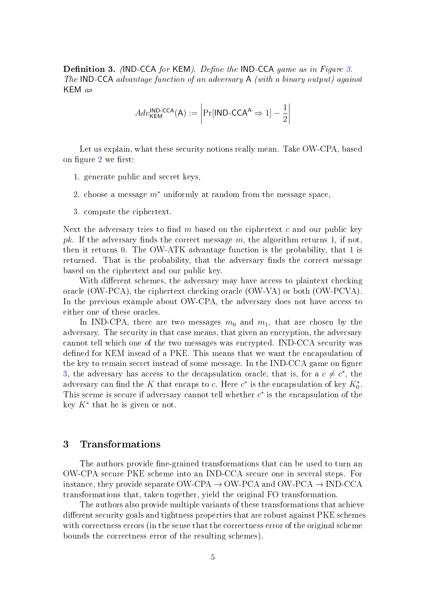**Definition [3.](#page-3-0)** (IND-CCA for KEM). Define the IND-CCA game as in Figure 3. The IND-CCA advantage function of an adversary A (with a binary output) against KEM as

$$
Adv_{\mathsf{KEM}}^{\mathsf{IND}\text{-}\mathsf{CCA}}(A) := \left| \Pr[\mathsf{IND}\text{-}\mathsf{CCA}^{\mathsf{A}} \Rightarrow 1] - \frac{1}{2} \right|
$$

Let us explain, what these security notions really mean. Take OW-CPA, based on figure [2](#page-2-1) we first:

- 1. generate public and secret keys,
- 2. choose a message  $m^*$  uniformly at random from the message space,
- 3. compute the ciphertext.

Next the adversary tries to find  $m$  based on the ciphertext  $c$  and our public key pk. If the adversary finds the correct message m, the algorithm returns 1, if not, then it returns 0. The OW-ATK advantage function is the probability, that 1 is returned. That is the probability, that the adversary finds the correct message based on the ciphertext and our public key.

With different schemes, the adversary may have access to plaintext checking oracle (OW-PCA), the ciphertext checking oracle (OW-VA) or both (OW-PCVA). In the previous example about OW-CPA, the adversary does not have access to either one of these oracles.

In IND-CPA, there are two messages  $m_0$  and  $m_1$ , that are chosen by the adversary. The security in that case means, that given an encryption, the adversary cannot tell which one of the two messages was encrypted. IND-CCA security was defined for KEM insead of a PKE. This means that we want the encapsulation of the key to remain secret instead of some message. In the IND-CCA game on figure [3,](#page-3-0) the adversary has access to the decapsulation oracle, that is, for a  $c \neq c^*$ , the adversary can find the K that encaps to c. Here  $c^*$  is the encapsulation of key  $K_0^*$ . This sceme is secure if adversary cannot tell whether  $c^*$  is the encapsulation of the key  $K^*$  that he is given or not.

#### 3 Transformations

The authors provide fine-grained transformations that can be used to turn an OW-CPA secure PKE scheme into an IND-CCA secure one in several steps. For instance, they provide separate OW-CPA  $\rightarrow$  OW-PCA and OW-PCA  $\rightarrow$  IND-CCA transformations that, taken together, yield the original FO transformation.

The authors also provide multiple variants of these transformations that achieve different security goals and tightness properties that are robust against PKE schemes with correctness errors (in the sense that the correctness error of the original scheme bounds the correctness error of the resulting schemes).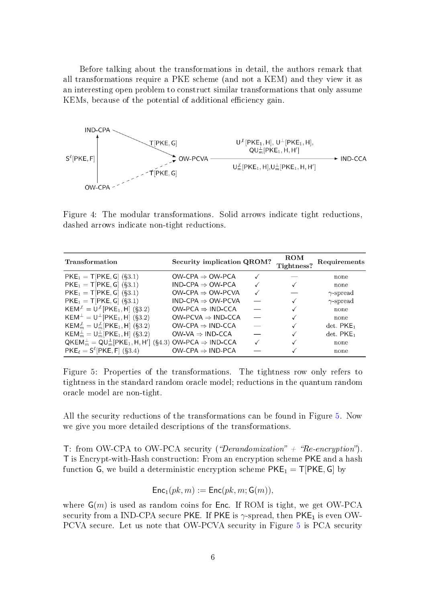Before talking about the transformations in detail, the authors remark that all transformations require a PKE scheme (and not a KEM) and they view it as an interesting open problem to construct similar transformations that only assume KEMs, because of the potential of additional efficiency gain.



Figure 4: The modular transformations. Solid arrows indicate tight reductions, dashed arrows indicate non-tight reductions.

<span id="page-5-0"></span>

| Transformation                                                                    | Security implication QROM?                 |              | $\mathbf{ROM}$<br>Tightness? | Requirements            |
|-----------------------------------------------------------------------------------|--------------------------------------------|--------------|------------------------------|-------------------------|
| $PKE_1 = T[ PKE, G]$ (§3.1)                                                       | OW-CPA $\Rightarrow$ OW-PCA                |              |                              | none                    |
| $PKE_1 = T[PKE, G]$ (§3.1)                                                        | $IND-CPA \Rightarrow OW-PCA$               |              |                              | none                    |
| $PKE_1 = T[PKE, G]$ (§3.1)                                                        | $OW\text{-}CPA \Rightarrow OW\text{-}PCVA$ | $\checkmark$ |                              | $\gamma$ -spread        |
| $PKE_1 = T[PKE, G]$ (§3.1)                                                        | $IND-CPA \Rightarrow OW-PCVA$              |              |                              | $\gamma$ -spread        |
| $KEM^{\mathcal{L}} = U^{\mathcal{L}}[PKE_1, H]$ (§3.2)                            | $OW-PCA \Rightarrow IND-CCA$               |              |                              | none                    |
| $KEM^{\perp} = U^{\perp} [PKE_1, H]$ (§3.2)                                       | $OW-PCVA \Rightarrow IND-CCA$              |              |                              | none                    |
| $KEM_m^{\mathcal{L}} = U_m^{\mathcal{L}}[PKE_1, H]$ (§3.2)                        | $OW-CPA \Rightarrow IND-CCA$               |              |                              | $det.$ PKE <sub>1</sub> |
| $KEM_m^{\perp} = U_m^{\perp}$ [PKE <sub>1</sub> , H] (§3.2)                       | OW-VA $\Rightarrow$ IND-CCA                |              |                              | $det.$ PKE <sub>1</sub> |
| $QKEM_m^{\perp} = QU_m^{\perp}[PKE_1, H, H']$ (§4.3) OW-PCA $\Rightarrow$ IND-CCA |                                            |              |                              | none                    |
| $PKE_{\ell} = S^{\ell} [PKE, F]$ (§3.4)                                           | $OW-CPA \Rightarrow IND-PCA$               |              |                              | none                    |

Figure 5: Properties of the transformations. The tightness row only refers to tightness in the standard random oracle model; reductions in the quantum random oracle model are non-tight.

All the security reductions of the transformations can be found in Figure [5.](#page-5-0) Now we give you more detailed descriptions of the transformations.

T: from OW-CPA to OW-PCA security ("Derandomization" + "Re-encryption"). T is Encrypt-with-Hash construction: From an encryption scheme PKE and a hash function G, we build a deterministic encryption scheme  $PKE_1 = T[PKE, G]$  by

$$
\mathsf{Enc}_1(pk, m) := \mathsf{Enc}(pk, m; \mathsf{G}(m)),
$$

where  $\mathsf{G}(m)$  is used as random coins for **Enc.** If ROM is tight, we get OW-PCA security from a IND-CPA secure PKE. If PKE is  $\gamma$ -spread, then PKE<sub>1</sub> is even OW-PCVA secure. Let us note that OW-PCVA security in Figure [5](#page-5-0) is PCA security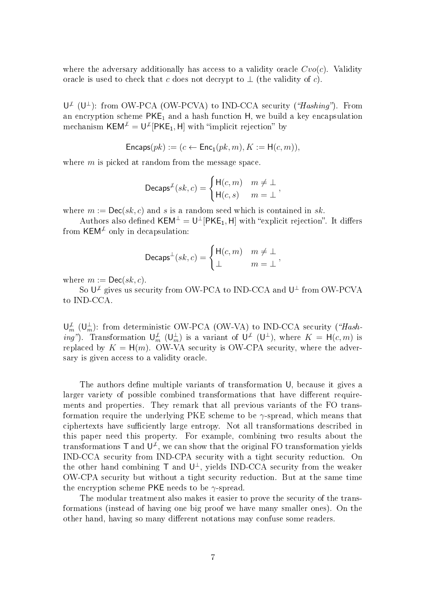where the adversary additionally has access to a validity oracle  $Cvo(c)$ . Validity oracle is used to check that c does not decrypt to  $\perp$  (the validity of c).

 $\mathsf{U}^{\not\perp}$  ( $\mathsf{U}^{\perp}$ ): from OW-PCA (OW-PCVA) to IND-CCA security ("Hashing"). From an encryption scheme  $PKE_1$  and a hash function H, we build a key encapsulation mechanism  $\mathsf{KEM}^\mathcal{L} = \mathsf{U}^\mathcal{L}[\mathsf{PKE}_1,\mathsf{H}]$  with "implicit rejection" by

$$
\mathsf{Encaps}(pk) := (c \leftarrow \mathsf{Enc}_1(pk, m), K := \mathsf{H}(c, m)),
$$

where  $m$  is picked at random from the message space.

$$
\mathsf{Decaps}^{\mathcal{\not{L}}}(sk, c) = \begin{cases} \mathsf{H}(c, m) & m \neq \bot \\ \mathsf{H}(c, s) & m = \bot \end{cases},
$$

where  $m := \mathsf{Dec}(sk, c)$  and s is a random seed which is contained in sk.

Authors also defined  $\mathsf{KEM}^\perp = \mathsf{U}^\perp[\mathsf{PKE}_1,\mathsf{H}]$  with "explicit rejection". It differs from KEM<sup> $\neq$ </sup> only in decapsulation:

$$
\mathsf{Decaps}^{\perp}(sk,c) = \begin{cases} \mathsf{H}(c,m) & m \neq \perp \\ \perp & m = \perp \end{cases},
$$

where  $m := \mathsf{Dec}(sk, c)$ .

So  $\mathsf{U}^{\not\perp}$  gives us security from OW-PCA to IND-CCA and  $\mathsf{U}^{\perp}$  from OW-PCVA to IND-CCA.

 $\mathsf{U}_m^{\not\perp}$  ( $\mathsf{U}_m^{\perp}$ ): from deterministic OW-PCA (OW-VA) to IND-CCA security ("Hash*ing*"). Transformation  $\bigcup_{m}^{\infty} (\bigcup_{m}^{\perp})$  is a variant of  $\bigcup^{\infty} (\bigcup_{m}^{\perp})$ , where  $K = H(c, m)$  is replaced by  $K = H(m)$ . OW-VA security is OW-CPA security, where the adversary is given access to a validity oracle.

The authors define multiple variants of transformation U, because it gives a larger variety of possible combined transformations that have different requirements and properties. They remark that all previous variants of the FO transformation require the underlying PKE scheme to be  $\gamma$ -spread, which means that ciphertexts have sufficiently large entropy. Not all transformations described in this paper need this property. For example, combining two results about the transformations T and  $\mathsf{U}^{\mathcal{L}}$ , we can show that the original FO transformation yields IND-CCA security from IND-CPA security with a tight security reduction. On the other hand combining  $\mathsf T$  and  $\mathsf{U}^{\perp}$ , yields IND-CCA security from the weaker OW-CPA security but without a tight security reduction. But at the same time the encryption scheme PKE needs to be  $\gamma$ -spread.

The modular treatment also makes it easier to prove the security of the transformations (instead of having one big proof we have many smaller ones). On the other hand, having so many different notations may confuse some readers.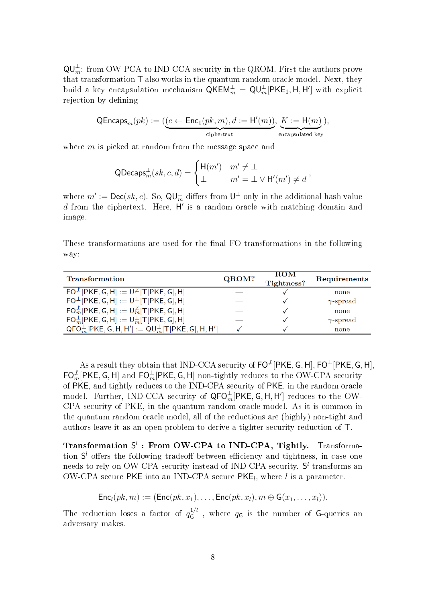$\mathsf{QU}_{m}^{\perp}$ : from OW-PCA to IND-CCA security in the QROM. First the authors prove that transformation T also works in the quantum random oracle model. Next, they build a key encapsulation mechanism  $\mathsf{QKEM}_m^\perp = \mathsf{QU}_m^\perp[\mathsf{PKE}_1, \mathsf{H}, \mathsf{H}']$  with explicit rejection by defining

$$
\mathsf{QEncaps}_m(pk) := (\underbrace{(c \leftarrow \mathsf{Enc}_1(pk,m), d := \mathsf{H}'(m))}_{\text{ciphertext}}, \underbrace{K := \mathsf{H}(m)}_{\text{encapsulated key}}),
$$

where  $m$  is picked at random from the message space and

$$
\mathsf{QDecaps}_m^\perp(sk,c,d) = \begin{cases} \mathsf{H}(m') & m' \neq \bot \\ \bot & m' = \bot \vee \mathsf{H}'(m') \neq d \end{cases},
$$

where  $m':=\mathsf{Dec}(sk, c)$ . So,  $\mathsf{QU}_{m}^{\perp}$  differs from  $\mathsf{U}^{\perp}$  only in the additional hash value  $d$  from the ciphertext. Here,  $H'$  is a random oracle with matching domain and image.

These transformations are used for the final FO transformations in the following way:

| Transformation                                                     | QROM? | <b>ROM</b><br>Tightness? | Requirements     |
|--------------------------------------------------------------------|-------|--------------------------|------------------|
| $\overline{FO^{\perp}}$ [PKE, G, H] := $U^{\perp}$ [T[PKE, G], H]  |       |                          | none             |
| $FO^{\perp}$ [PKE, G, H] := $U^{\perp}$ [T[PKE, G], H]             |       |                          | $\gamma$ -spread |
| $FO_m^{\mathcal{L}}[PKE, G, H] := U_m^{\mathcal{L}}[T[PKE, G], H]$ |       |                          | none             |
| $FO_m^{\perp}[PKE, G, H] := U_m^{\perp}[T[PKE, G], H]$             |       |                          | $\gamma$ -spread |
| $QFO_m^{\perp}[PKE, G, H, H'] := QU_m^{\perp}[T[PKE, G], H, H']$   |       |                          | none             |

As a result they obtain that IND-CCA security of  $\mathsf{FO}^\mathcal{L}[\mathsf{PKE}, \mathsf{G}, \mathsf{H}]$ ,  $\mathsf{FO}^\mathcal{L}[\mathsf{PKE}, \mathsf{G}, \mathsf{H}]$ ,  $\mathsf{FO}_{m}^{\mathcal{L}}[\mathsf{PKE},\mathsf{G},\mathsf{H}]$  and  $\mathsf{FO}_{m}^{\perp}[\mathsf{PKE},\mathsf{G},\mathsf{H}]$  non-tightly reduces to the OW-CPA security of PKE, and tightly reduces to the IND-CPA security of PKE, in the random oracle model. Further, IND-CCA security of  $\mathsf{QFO}_{m}^{\perp}[\mathsf{PKE}, \mathsf{G}, \mathsf{H}, \mathsf{H}']$  reduces to the OW-CPA security of PKE, in the quantum random oracle model. As it is common in the quantum random oracle model, all of the reductions are (highly) non-tight and authors leave it as an open problem to derive a tighter security reduction of T.

Transformation  $S^l$ : From OW-CPA to IND-CPA, Tightly. Transformation  $S<sup>l</sup>$  offers the following tradeoff between efficiency and tightness, in case one needs to rely on OW-CPA security instead of IND-CPA security.  $S<sup>l</sup>$  transforms an OW-CPA secure PKE into an IND-CPA secure PKE<sub>l</sub>, where l is a parameter.

$$
\mathsf{Enc}_l(pk,m) := (\mathsf{Enc}(pk, x_1), \dots, \mathsf{Enc}(pk, x_l), m \oplus \mathsf{G}(x_1, \dots, x_l)).
$$

The reduction loses a factor of  $q_G^{1/l}$  $\mathsf{G}^{1/\ell}$ , where  $q_{\mathsf{G}}$  is the number of G-queries an adversary makes.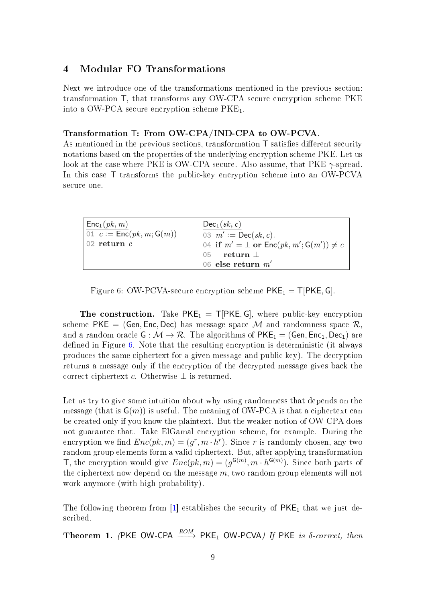# 4 Modular FO Transformations

Next we introduce one of the transformations mentioned in the previous section: transformation T, that transforms any OW-CPA secure encryption scheme PKE into a OW-PCA secure encryption scheme  $PKE<sub>1</sub>$ .

#### Transformation T: From OW-CPA/IND-CPA to OW-PCVA.

As mentioned in the previous sections, transformation  $\mathsf T$  satisfies different security notations based on the properties of the underlying encryption scheme PKE. Let us look at the case where PKE is OW-CPA secure. Also assume, that PKE  $\gamma$ -spread. In this case T transforms the public-key encryption scheme into an OW-PCVA secure one.

<span id="page-8-0"></span>

| Enc <sub>1</sub> (pk, m)                                           | $Dec_1(\mathit{sk}, c)$                                             |
|--------------------------------------------------------------------|---------------------------------------------------------------------|
| $\overline{01}$ $c := \overline{\text{Enc}}(pk, m; \mathsf{G}(m))$ | 03 $m' := \textsf{Dec}(sk, c)$ .                                    |
| $\sqrt{02}$ return c                                               | 04 if $m' = \perp$ or $\mathsf{Enc}(pk, m'; \mathsf{G}(m')) \neq c$ |
|                                                                    | return $\perp$<br>05                                                |
|                                                                    | 06 else return $m'$                                                 |

Figure 6: OW-PCVA-secure encryption scheme  $PKE_1 = T[PKE, G]$ .

**The construction.** Take  $PKE_1 = T[PKE, G]$ , where public-key encryption scheme PKE = (Gen, Enc, Dec) has message space M and randomness space  $\mathcal{R}$ . and a random oracle  $G : \mathcal{M} \to \mathcal{R}$ . The algorithms of  $PKE_1 = (Gen, Enc_1, Dec_1)$  are defined in Figure [6.](#page-8-0) Note that the resulting encryption is deterministic (it always produces the same ciphertext for a given message and public key). The decryption returns a message only if the encryption of the decrypted message gives back the correct ciphertext c. Otherwise  $\perp$  is returned.

Let us try to give some intuition about why using randomness that depends on the message (that is  $\mathsf{G}(m)$ ) is useful. The meaning of OW-PCA is that a ciphertext can be created only if you know the plaintext. But the weaker notion of OW-CPA does not guarantee that. Take ElGamal encryption scheme, for example. During the encryption we find  $Enc(pk, m) = (g^r, m \cdot h^r)$ . Since r is randomly chosen, any two random group elements form a valid ciphertext. But, after applying transformation T, the encryption would give  $Enc(pk, m) = (g^{\mathsf{G}(m)}, m \cdot h^{\mathsf{G}(m)})$ . Since both parts of the ciphertext now depend on the message  $m$ , two random group elements will not work anymore (with high probability).

The following theorem from  $[1]$  establishes the security of  $PKE<sub>1</sub>$  that we just described.

<span id="page-8-1"></span>Theorem 1. (PKE OW-CPA  $\xrightarrow{ROM}$  PKE<sub>1</sub> OW-PCVA) If PKE is  $\delta$ -correct, then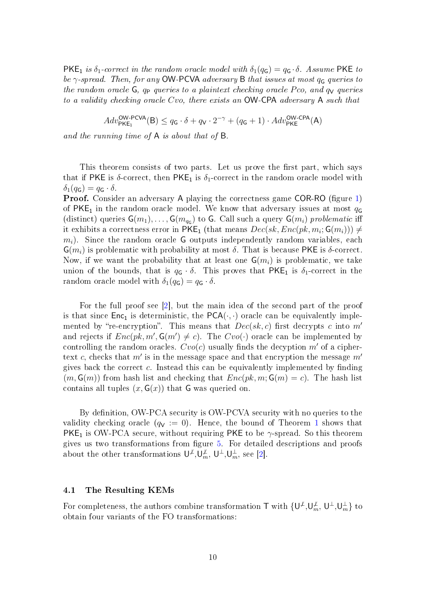PKE<sub>1</sub> is  $\delta_1$ -correct in the random oracle model with  $\delta_1(q_G) = q_G \cdot \delta$ . Assume PKE to be  $\gamma$ -spread. Then, for any OW-PCVA adversary B that issues at most  $q_G$  queries to the random oracle  $G$ ,  $q_P$  queries to a plaintext checking oracle Pco, and  $q_V$  queries to a validity checking oracle Cvo, there exists an OW-CPA adversary A such that

$$
Adv^{\sf OW\text{-}PCVA}_{\sf PKE_1}(\textsf{B}) \leq q_{\sf G} \cdot \delta + q_{\sf V} \cdot 2^{-\gamma} + (q_{\sf G}+1) \cdot Adv^{\sf OW\text{-}CPA}_{\sf PKE}(\textsf{A})
$$

and the running time of A is about that of B.

This theorem consists of two parts. Let us prove the first part, which says that if PKE is  $\delta$ -correct, then PKE<sub>1</sub> is  $\delta_1$ -correct in the random oracle model with  $\delta_1(q_{\mathsf{G}}) = q_{\mathsf{G}} \cdot \delta.$ 

**Proof.** Consider an adversary A playing the correctness game COR-RO (figure [1\)](#page-2-0) of PKE<sub>1</sub> in the random oracle model. We know that adversary issues at most  $q<sub>G</sub>$ (distinct) queries  $G(m_1), \ldots, G(m_{q_G})$  to G. Call such a query  $G(m_i)$  problematic iff it exhibits a correctness error in  $\mathsf{PKE}_1$  (that means  $Dec(sk, Enc(pk, m_i; \mathsf{G}(m_i))) \neq$  $m_i$ ). Since the random oracle G outputs independently random variables, each  $\mathsf{G}(m_i)$  is problematic with probability at most  $\delta$ . That is because PKE is  $\delta$ -correct. Now, if we want the probability that at least one  $G(m_i)$  is problematic, we take union of the bounds, that is  $q_{\mathsf{G}} \cdot \delta$ . This proves that PKE<sub>1</sub> is  $\delta_1$ -correct in the random oracle model with  $\delta_1(q_{\mathsf{G}}) = q_{\mathsf{G}} \cdot \delta$ .

For the full proof see [\[2\]](#page-11-5), but the main idea of the second part of the proof is that since  $Enc_1$  is deterministic, the  $PCA(\cdot, \cdot)$  oracle can be equivalently implemented by "re-encryption". This means that  $Dec(sk, c)$  first decrypts c into m' and rejects if  $Enc(pk, m', G(m') \neq c)$ . The  $Cvo(\cdot)$  oracle can be implemented by controlling the random oracles.  $Cvo(c)$  usually finds the decyption m' of a ciphertext c, checks that  $m'$  is in the message space and that encryption the message  $m'$ gives back the correct c. Instead this can be equivalently implemented by finding  $(m, G(m))$  from hash list and checking that  $Enc(pk, m; G(m) = c)$ . The hash list contains all tuples  $(x, \mathsf{G}(x))$  that G was queried on.

By definition, OW-PCA security is OW-PCVA security with no queries to the validity checking oracle  $(q_V := 0)$ . Hence, the bound of Theorem [1](#page-8-1) shows that **PKE<sub>1</sub>** is OW-PCA secure, without requiring PKE to be  $\gamma$ -spread. So this theorem gives us two transformations from figure  $5$ . For detailed descriptions and proofs about the other transformations  $\mathsf{U}^{\neq}$ ,  $\mathsf{U}_m^{\neq}$ ,  $\mathsf{U}^{\perp}$ ,  $\mathsf{U}_m^{\perp}$ , see [\[2\]](#page-11-5).

#### 4.1 The Resulting KEMs

For completeness, the authors combine transformation  $\top$  with  $\{\bm{\mathsf{U}}^\mathcal{L},\bm{\mathsf{U}}_m^\mathcal{L},\bm{\mathsf{U}}_m^\mathcal{L},\bm{\mathsf{U}}_m^\mathcal{L}\}$  to obtain four variants of the FO transformations: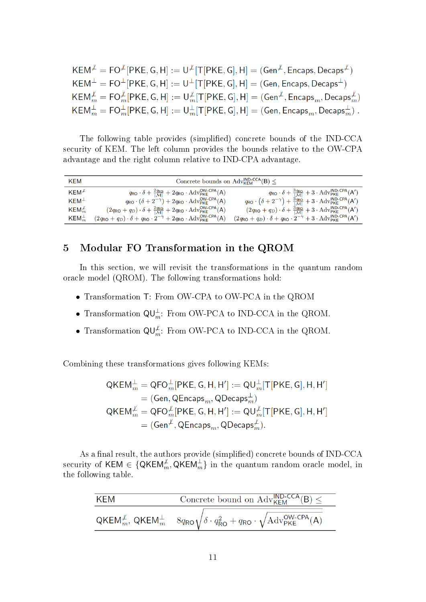$KEM^{\not L} = FO^{\not L}[PKE, G, H] := U^{\not L}[T[PKE, G], H] = (Gen^{\not L}, Encaps, Decaps^{\not L})$  $KEM^{\perp} = FO^{\perp}[PKE, G, H] := U^{\perp}[T[PKE, G], H] = (Gen, Encaps, Decaps^{\perp})$  $\mathsf{KEM}_{m}^{\not\perp} = \mathsf{FO}_{m}^{\not\perp}[\mathsf{PKE}, \mathsf{G}, \mathsf{H}] := \mathsf{U}_{m}^{\not\perp}[\mathsf{T}[\mathsf{PKE}, \mathsf{G}], \mathsf{H}] = (\mathsf{Gen}^{\not\perp}, \mathsf{Encaps}_{m}, \mathsf{Decaps}_{m}^{\not\perp})$ <br>  $\mathsf{KEM}_{m}^{\perp} = \mathsf{FO}_{m}^{\perp}[\mathsf{PKE}, \mathsf{G}, \mathsf{H}] := \mathsf{U}_{m}^{\perp}[\mathsf{T}[\mathsf{PKE}, \mathsf{G}], \mathsf{H}] =$ 

The following table provides (simplified) concrete bounds of the IND-CCA security of KEM. The left column provides the bounds relative to the OW-CPA advantage and the right column relative to IND-CPA advantage.

| KEM                   | Concrete bounds on $Adv_{KEM}^{IND-CCA}(B) \leq$                                                                                                               |                                                                                                                                                               |  |
|-----------------------|----------------------------------------------------------------------------------------------------------------------------------------------------------------|---------------------------------------------------------------------------------------------------------------------------------------------------------------|--|
| $KEM^{\mathcal{L}}$   | $q_{\text{RO}} \cdot \delta + \frac{2q_{\text{RO}}}{ \mathcal{M} } + 2q_{\text{RO}} \cdot \text{Adv}_{\text{PKE}}^{\text{OW-CPA}}(A)$                          | $q_{\mathsf{RO}} \cdot \delta + \frac{3q_{\mathsf{RO}}}{ \mathcal{M} } + 3 \cdot \mathrm{Adv}_{\mathsf{PKE}}^{\mathsf{IND}\text{-}\mathsf{CPA}}(\mathsf{A}')$ |  |
| $KEM^{\perp}$         | $q_{\text{RO}} \cdot (\delta + 2^{-\gamma}) + 2q_{\text{RO}} \cdot \text{Adv}_{\text{PKE}}^{\text{OW-CPA}}(A)$                                                 | $q_{\mathsf{RO}} \cdot (\delta + 2^{-\gamma}) + \frac{3q_{\mathsf{RO}}}{ \mathcal{M} } + 3 \cdot \mathrm{Adv}_{\mathsf{PKE}}^{\mathsf{IND-CPA}}(A')$          |  |
| $KEM_m^{\mathcal{L}}$ | $(2q_{\text{RO}} + q_D) \cdot \delta + \frac{2q_{\text{RO}}}{ \mathcal{M} } + 2q_{\text{RO}} \cdot \text{Adv}_{\text{PKE}}^{\text{OW-CPA}}(A)$                 | $(2q_{\text{RO}} + q_D) \cdot \delta + \frac{3q_{\text{RO}}}{ \mathcal{M} } + 3 \cdot \text{Adv}_{\text{PKE}}^{\text{IND-CPA}}(A')$                           |  |
| $KEM_m^{\perp}$       | $(2q_{\mathsf{RO}} + q_D) \cdot \delta + q_{\mathsf{RO}} \cdot 2^{-\gamma} + 2q_{\mathsf{RO}} \cdot \mathrm{Adv}_{\mathsf{PKE}}^{\mathsf{OW-CPA}}(\mathsf{A})$ | $(2q_{\text{RO}} + q_D) \cdot \delta + q_{\text{RO}} \cdot 2^{-\gamma} + 3 \cdot \text{Adv}_{\text{PKE}}^{\text{IND-CPA}}(A')$                                |  |

# 5 Modular FO Transformation in the QROM

In this section, we will revisit the transformations in the quantum random oracle model (QROM). The following transformations hold:

- Transformation T: From OW-CPA to OW-PCA in the QROM
- Transformation  $\mathsf{QU}_{m}^{\perp}$ : From OW-PCA to IND-CCA in the QROM.
- Transformation  $\mathsf{QU}_{m}^{\mathcal{L}}$ : From OW-PCA to IND-CCA in the QROM.

Combining these transformations gives following KEMs:

$$
QKEM_m^{\perp} = QFO_m^{\perp}[PKE, G, H, H'] := QU_m^{\perp}[T[PKE, G], H, H']
$$
  
= (Gen, QEncaps<sub>m</sub>, QDecaps<sub>m</sub>)  

$$
QKEM_m^{\nperp} = QFO_m^{\nperp}[PKE, G, H, H'] := QU_m^{\nperp}[T[PKE, G], H, H']
$$
  
= (Gen<sup>\nperp</sup>, QEncaps<sub>m</sub>, QDecaps<sub>m</sub><sup>\nperp</sup>).

As a final result, the authors provide (simplified) concrete bounds of IND-CCA security of KEM  $\in \{\mathsf{QKEM}_m^\neq, \mathsf{QKEM}_m^\perp\}$  in the quantum random oracle model, in the following table.

| KFM | Concrete bound on $\text{Adv}_{\mathsf{KFM}}^{\mathsf{IND}\text{-}\mathsf{CCA}}(\mathsf{B}) \leq$                                     |  |
|-----|---------------------------------------------------------------------------------------------------------------------------------------|--|
|     | $QKEM_m^{\mathcal{L}}, QKEM_m^{\perp} \quad 8q_{RO}\sqrt{\delta \cdot q_{RO}^2 + q_{RO} \cdot \sqrt{\mathrm{Adv}_{PKE}^{OW-CPA}}(A)}$ |  |